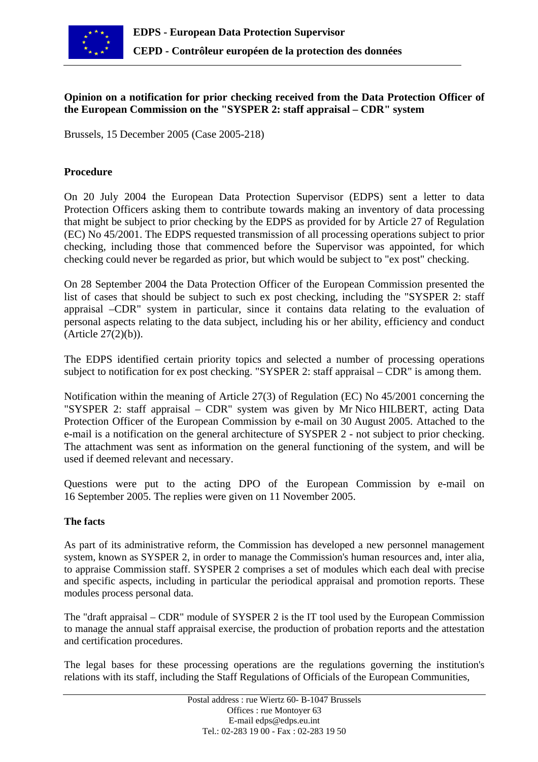

# **Opinion on a notification for prior checking received from the Data Protection Officer of the European Commission on the "SYSPER 2: staff appraisal – CDR" system**

Brussels, 15 December 2005 (Case 2005-218)

#### **Procedure**

On 20 July 2004 the European Data Protection Supervisor (EDPS) sent a letter to data Protection Officers asking them to contribute towards making an inventory of data processing that might be subject to prior checking by the EDPS as provided for by Article 27 of Regulation (EC) No 45/2001. The EDPS requested transmission of all processing operations subject to prior checking, including those that commenced before the Supervisor was appointed, for which checking could never be regarded as prior, but which would be subject to "ex post" checking.

On 28 September 2004 the Data Protection Officer of the European Commission presented the list of cases that should be subject to such ex post checking, including the "SYSPER 2: staff appraisal –CDR" system in particular, since it contains data relating to the evaluation of personal aspects relating to the data subject, including his or her ability, efficiency and conduct (Article 27(2)(b)).

The EDPS identified certain priority topics and selected a number of processing operations subject to notification for ex post checking. "SYSPER 2: staff appraisal – CDR" is among them.

Notification within the meaning of Article 27(3) of Regulation (EC) No 45/2001 concerning the "SYSPER 2: staff appraisal – CDR" system was given by Mr Nico HILBERT, acting Data Protection Officer of the European Commission by e-mail on 30 August 2005. Attached to the e-mail is a notification on the general architecture of SYSPER 2 - not subject to prior checking. The attachment was sent as information on the general functioning of the system, and will be used if deemed relevant and necessary.

Questions were put to the acting DPO of the European Commission by e-mail on 16 September 2005. The replies were given on 11 November 2005.

#### **The facts**

As part of its administrative reform, the Commission has developed a new personnel management system, known as SYSPER 2, in order to manage the Commission's human resources and, inter alia, to appraise Commission staff. SYSPER 2 comprises a set of modules which each deal with precise and specific aspects, including in particular the periodical appraisal and promotion reports. These modules process personal data.

The "draft appraisal – CDR" module of SYSPER 2 is the IT tool used by the European Commission to manage the annual staff appraisal exercise, the production of probation reports and the attestation and certification procedures.

The legal bases for these processing operations are the regulations governing the institution's relations with its staff, including the Staff Regulations of Officials of the European Communities,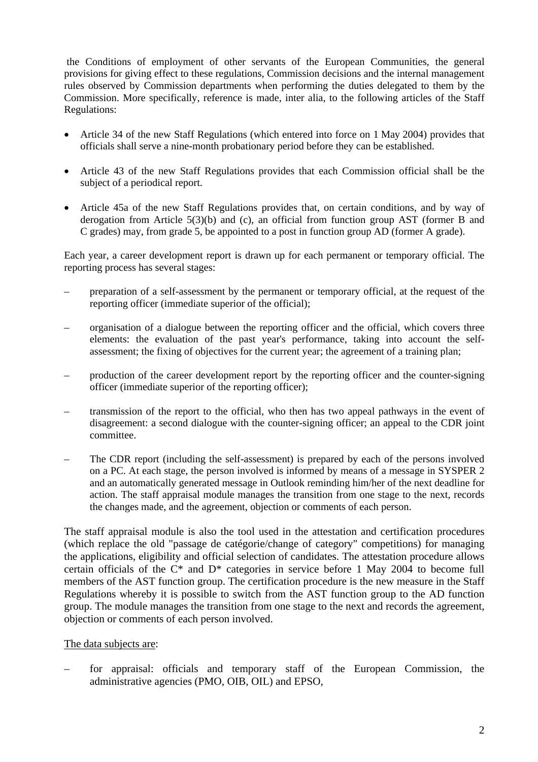the Conditions of employment of other servants of the European Communities, the general provisions for giving effect to these regulations, Commission decisions and the internal management rules observed by Commission departments when performing the duties delegated to them by the Commission. More specifically, reference is made, inter alia, to the following articles of the Staff Regulations:

- Article 34 of the new Staff Regulations (which entered into force on 1 May 2004) provides that officials shall serve a nine-month probationary period before they can be established.
- Article 43 of the new Staff Regulations provides that each Commission official shall be the subject of a periodical report.
- Article 45a of the new Staff Regulations provides that, on certain conditions, and by way of derogation from Article 5(3)(b) and (c), an official from function group AST (former B and C grades) may, from grade 5, be appointed to a post in function group AD (former A grade).

Each year, a career development report is drawn up for each permanent or temporary official. The reporting process has several stages:

- preparation of a self-assessment by the permanent or temporary official, at the request of the reporting officer (immediate superior of the official);
- organisation of a dialogue between the reporting officer and the official, which covers three elements: the evaluation of the past year's performance, taking into account the selfassessment; the fixing of objectives for the current year; the agreement of a training plan;
- production of the career development report by the reporting officer and the counter-signing officer (immediate superior of the reporting officer);
- transmission of the report to the official, who then has two appeal pathways in the event of disagreement: a second dialogue with the counter-signing officer; an appeal to the CDR joint committee.
- The CDR report (including the self-assessment) is prepared by each of the persons involved on a PC. At each stage, the person involved is informed by means of a message in SYSPER 2 and an automatically generated message in Outlook reminding him/her of the next deadline for action. The staff appraisal module manages the transition from one stage to the next, records the changes made, and the agreement, objection or comments of each person.

The staff appraisal module is also the tool used in the attestation and certification procedures (which replace the old "passage de catégorie/change of category" competitions) for managing the applications, eligibility and official selection of candidates. The attestation procedure allows certain officials of the C\* and D\* categories in service before 1 May 2004 to become full members of the AST function group. The certification procedure is the new measure in the Staff Regulations whereby it is possible to switch from the AST function group to the AD function group. The module manages the transition from one stage to the next and records the agreement, objection or comments of each person involved.

### The data subjects are:

– for appraisal: officials and temporary staff of the European Commission, the administrative agencies (PMO, OIB, OIL) and EPSO,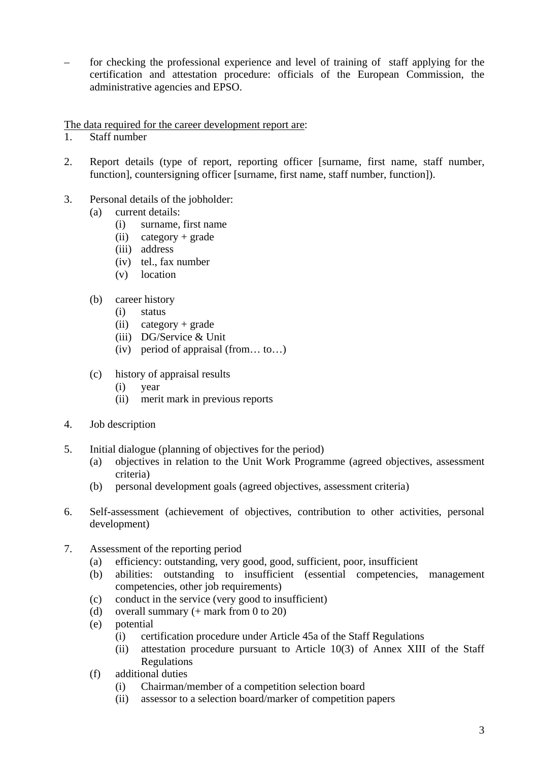– for checking the professional experience and level of training of staff applying for the certification and attestation procedure: officials of the European Commission, the administrative agencies and EPSO.

The data required for the career development report are:

- 1. Staff number
- 2. Report details (type of report, reporting officer [surname, first name, staff number, function], countersigning officer [surname, first name, staff number, function]).
- 3. Personal details of the jobholder:
	- (a) current details:
		- (i) surname, first name
		- (ii) category + grade
		- (iii) address
		- (iv) tel., fax number
		- (v) location
	- (b) career history
		- (i) status
		- (ii) category + grade
		- (iii) DG/Service & Unit
		- (iv) period of appraisal (from… to…)
	- (c) history of appraisal results
		- (i) year
		- (ii) merit mark in previous reports
- 4. Job description
- 5. Initial dialogue (planning of objectives for the period)
	- (a) objectives in relation to the Unit Work Programme (agreed objectives, assessment criteria)
	- (b) personal development goals (agreed objectives, assessment criteria)
- 6. Self-assessment (achievement of objectives, contribution to other activities, personal development)
- 7. Assessment of the reporting period
	- (a) efficiency: outstanding, very good, good, sufficient, poor, insufficient
	- (b) abilities: outstanding to insufficient (essential competencies, management competencies, other job requirements)
	- (c) conduct in the service (very good to insufficient)
	- (d) overall summary  $(+$  mark from 0 to 20)
	- (e) potential
		- (i) certification procedure under Article 45a of the Staff Regulations
		- (ii) attestation procedure pursuant to Article 10(3) of Annex XIII of the Staff Regulations
	- (f) additional duties
		- (i) Chairman/member of a competition selection board
		- (ii) assessor to a selection board/marker of competition papers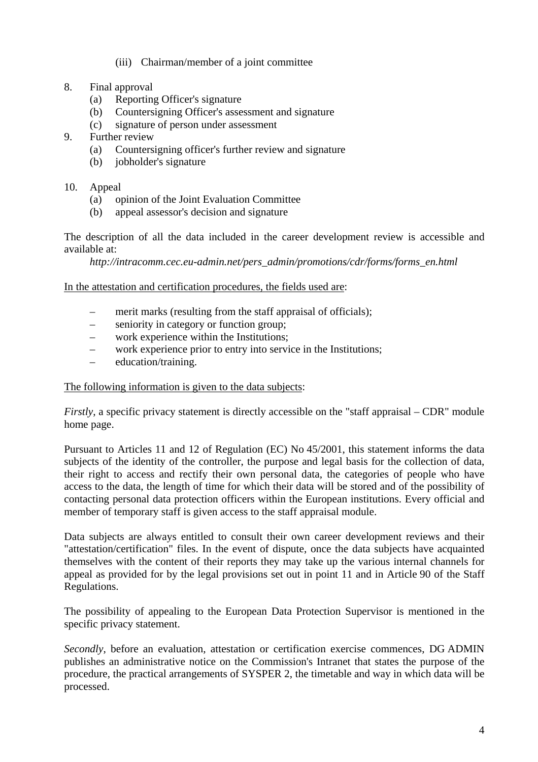#### (iii) Chairman/member of a joint committee

#### 8. Final approval

- (a) Reporting Officer's signature
- (b) Countersigning Officer's assessment and signature
- (c) signature of person under assessment
- 9. Further review
	- (a) Countersigning officer's further review and signature
	- (b) jobholder's signature

#### 10. Appeal

- (a) opinion of the Joint Evaluation Committee
- (b) appeal assessor's decision and signature

The description of all the data included in the career development review is accessible and available at:

 *http://intracomm.cec.eu-admin.net/pers\_admin/promotions/cdr/forms/forms\_en.html* 

#### In the attestation and certification procedures, the fields used are:

- merit marks (resulting from the staff appraisal of officials);
- seniority in category or function group;
- work experience within the Institutions;
- work experience prior to entry into service in the Institutions;
- education/training.

#### The following information is given to the data subjects:

*Firstly*, a specific privacy statement is directly accessible on the "staff appraisal – CDR" module home page.

Pursuant to Articles 11 and 12 of Regulation (EC) No 45/2001, this statement informs the data subjects of the identity of the controller, the purpose and legal basis for the collection of data, their right to access and rectify their own personal data, the categories of people who have access to the data, the length of time for which their data will be stored and of the possibility of contacting personal data protection officers within the European institutions. Every official and member of temporary staff is given access to the staff appraisal module.

Data subjects are always entitled to consult their own career development reviews and their "attestation/certification" files. In the event of dispute, once the data subjects have acquainted themselves with the content of their reports they may take up the various internal channels for appeal as provided for by the legal provisions set out in point 11 and in Article 90 of the Staff Regulations.

The possibility of appealing to the European Data Protection Supervisor is mentioned in the specific privacy statement.

*Secondly*, before an evaluation, attestation or certification exercise commences, DG ADMIN publishes an administrative notice on the Commission's Intranet that states the purpose of the procedure, the practical arrangements of SYSPER 2, the timetable and way in which data will be processed.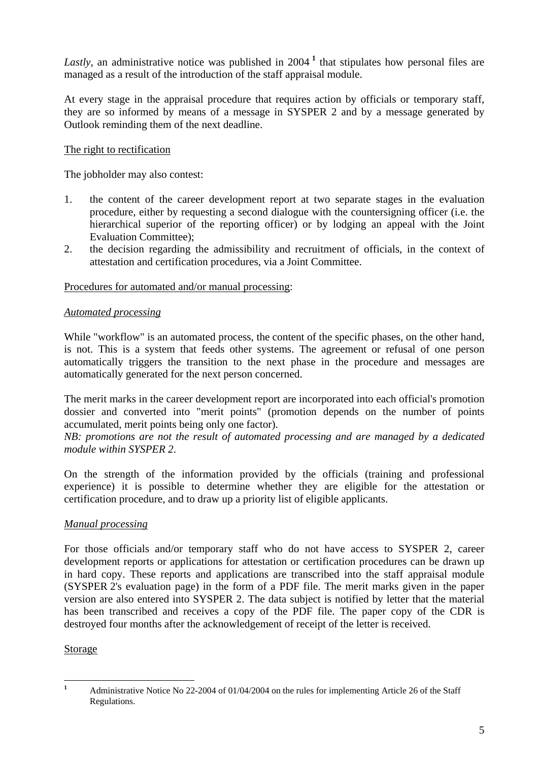Lastly,an administrative notice was published in 2004<sup>1</sup> that stipulates how personal files are managed as a result of the introduction of the staff appraisal module.

At every stage in the appraisal procedure that requires action by officials or temporary staff, they are so informed by means of a message in SYSPER 2 and by a message generated by Outlook reminding them of the next deadline.

# The right to rectification

The jobholder may also contest:

- 1. the content of the career development report at two separate stages in the evaluation procedure, either by requesting a second dialogue with the countersigning officer (i.e. the hierarchical superior of the reporting officer) or by lodging an appeal with the Joint Evaluation Committee);
- 2. the decision regarding the admissibility and recruitment of officials, in the context of attestation and certification procedures, via a Joint Committee.

#### Procedures for automated and/or manual processing:

#### *Automated processing*

While "workflow" is an automated process, the content of the specific phases, on the other hand, is not. This is a system that feeds other systems. The agreement or refusal of one person automatically triggers the transition to the next phase in the procedure and messages are automatically generated for the next person concerned.

The merit marks in the career development report are incorporated into each official's promotion dossier and converted into "merit points" (promotion depends on the number of points accumulated, merit points being only one factor).

*NB: promotions are not the result of automated processing and are managed by a dedicated module within SYSPER 2*.

On the strength of the information provided by the officials (training and professional experience) it is possible to determine whether they are eligible for the attestation or certification procedure, and to draw up a priority list of eligible applicants.

### *Manual processing*

For those officials and/or temporary staff who do not have access to SYSPER 2, career development reports or applications for attestation or certification procedures can be drawn up in hard copy. These reports and applications are transcribed into the staff appraisal module (SYSPER 2's evaluation page) in the form of a PDF file. The merit marks given in the paper version are also entered into SYSPER 2. The data subject is notified by letter that the material has been transcribed and receives a copy of the PDF file. The paper copy of the CDR is destroyed four months after the acknowledgement of receipt of the letter is received.

# Storage

<span id="page-4-0"></span> **1** Administrative Notice No 22-2004 of 01/04/2004 on the rules for implementing Article 26 of the Staff Regulations.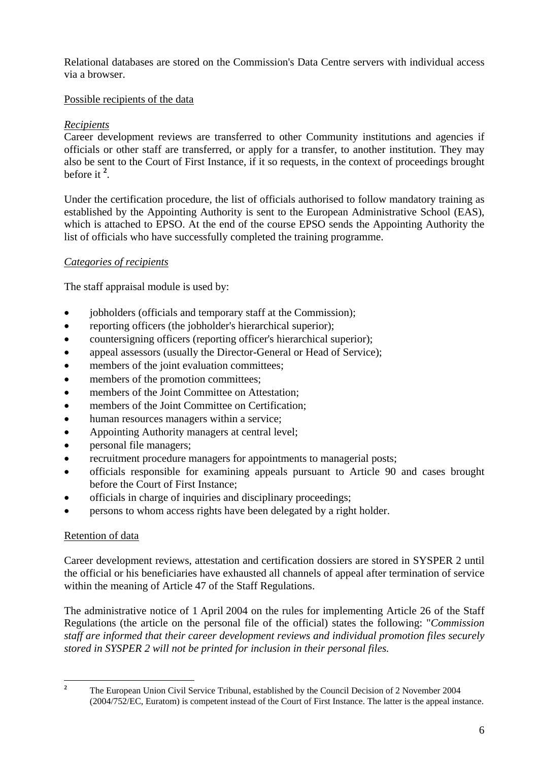Relational databases are stored on the Commission's Data Centre servers with individual access via a browser.

# Possible recipients of the data

# *Recipients*

Career development reviews are transferred to other Community institutions and agencies if officials or other staff are transferred, or apply for a transfer, to another institution. They may also be sent to the Court of First Instance, if it so requests, in the context of proceedings brought before it **<sup>2</sup>** [.](#page-5-0)

Under the certification procedure, the list of officials authorised to follow mandatory training as established by the Appointing Authority is sent to the European Administrative School (EAS), which is attached to EPSO. At the end of the course EPSO sends the Appointing Authority the list of officials who have successfully completed the training programme.

# *Categories of recipients*

The staff appraisal module is used by:

- jobholders (officials and temporary staff at the Commission);
- reporting officers (the jobholder's hierarchical superior);
- countersigning officers (reporting officer's hierarchical superior);
- appeal assessors (usually the Director-General or Head of Service);
- members of the joint evaluation committees;
- members of the promotion committees;
- members of the Joint Committee on Attestation:
- members of the Joint Committee on Certification;
- human resources managers within a service;
- Appointing Authority managers at central level;
- personal file managers;
- recruitment procedure managers for appointments to managerial posts;
- officials responsible for examining appeals pursuant to Article 90 and cases brought before the Court of First Instance;
- officials in charge of inquiries and disciplinary proceedings;
- persons to whom access rights have been delegated by a right holder.

### Retention of data

Career development reviews, attestation and certification dossiers are stored in SYSPER 2 until the official or his beneficiaries have exhausted all channels of appeal after termination of service within the meaning of Article 47 of the Staff Regulations.

The administrative notice of 1 April 2004 on the rules for implementing Article 26 of the Staff Regulations (the article on the personal file of the official) states the following: "*Commission staff are informed that their career development reviews and individual promotion files securely stored in SYSPER 2 will not be printed for inclusion in their personal files.* 

 **2**

<span id="page-5-0"></span>The European Union Civil Service Tribunal, established by the Council Decision of 2 November 2004 (2004/752/EC, Euratom) is competent instead of the Court of First Instance. The latter is the appeal instance.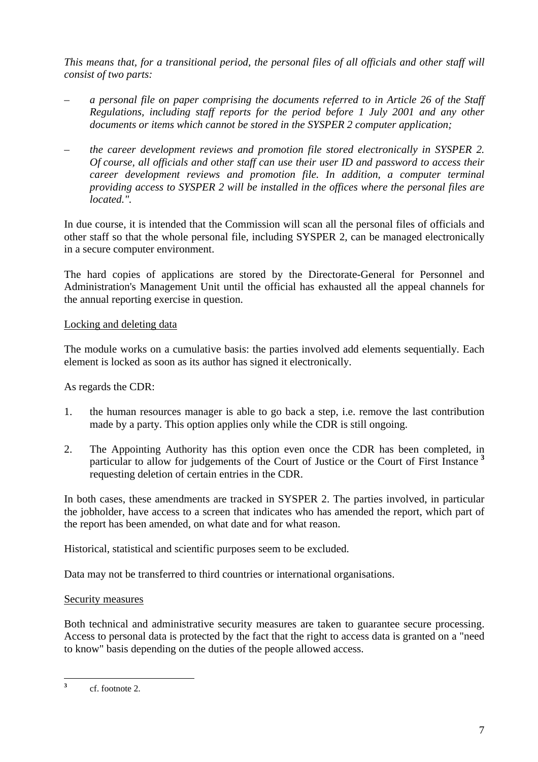*This means that, for a transitional period, the personal files of all officials and other staff will consist of two parts:* 

- *a personal file on paper comprising the documents referred to in Article 26 of the Staff Regulations, including staff reports for the period before 1 July 2001 and any other documents or items which cannot be stored in the SYSPER 2 computer application;*
- *the career development reviews and promotion file stored electronically in SYSPER 2. Of course, all officials and other staff can use their user ID and password to access their career development reviews and promotion file. In addition, a computer terminal providing access to SYSPER 2 will be installed in the offices where the personal files are located.".*

In due course, it is intended that the Commission will scan all the personal files of officials and other staff so that the whole personal file, including SYSPER 2, can be managed electronically in a secure computer environment.

The hard copies of applications are stored by the Directorate-General for Personnel and Administration's Management Unit until the official has exhausted all the appeal channels for the annual reporting exercise in question.

### Locking and deleting data

The module works on a cumulative basis: the parties involved add elements sequentially. Each element is locked as soon as its author has signed it electronically.

As regards the CDR:

- 1. the human resources manager is able to go back a step, i.e. remove the last contribution made by a party. This option applies only while the CDR is still ongoing.
- 2. The Appointing Authority has this option even once the CDR has been completed, in particular to allow for judgements of the Court of Justice or the Court of First Instance **[3](#page-6-0)** requesting deletion of certain entries in the CDR.

In both cases, these amendments are tracked in SYSPER 2. The parties involved, in particular the jobholder, have access to a screen that indicates who has amended the report, which part of the report has been amended, on what date and for what reason.

Historical, statistical and scientific purposes seem to be excluded.

Data may not be transferred to third countries or international organisations.

# Security measures

Both technical and administrative security measures are taken to guarantee secure processing. Access to personal data is protected by the fact that the right to access data is granted on a "need to know" basis depending on the duties of the people allowed access.

<span id="page-6-0"></span> $\overline{\mathbf{3}}$ **<sup>3</sup>** cf. footnote 2.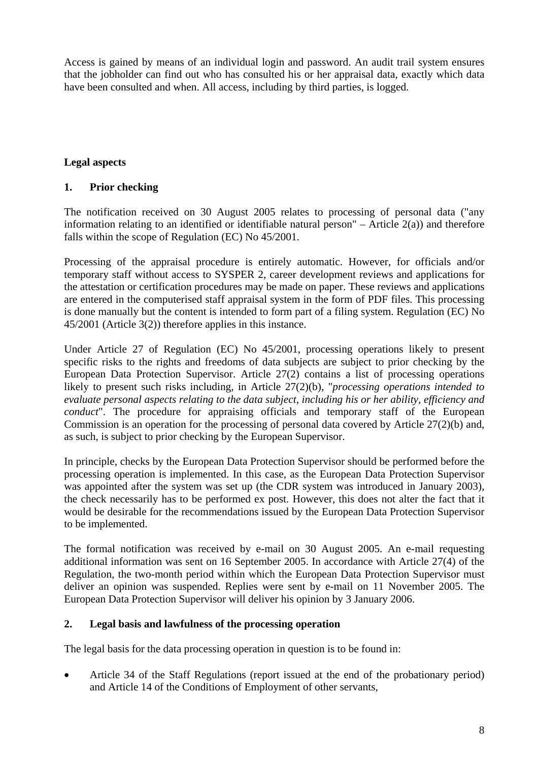Access is gained by means of an individual login and password. An audit trail system ensures that the jobholder can find out who has consulted his or her appraisal data, exactly which data have been consulted and when. All access, including by third parties, is logged.

# **Legal aspects**

#### **1. Prior checking**

The notification received on 30 August 2005 relates to processing of personal data ("any information relating to an identified or identifiable natural person" – Article  $2(a)$ ) and therefore falls within the scope of Regulation (EC) No 45/2001.

Processing of the appraisal procedure is entirely automatic. However, for officials and/or temporary staff without access to SYSPER 2, career development reviews and applications for the attestation or certification procedures may be made on paper. These reviews and applications are entered in the computerised staff appraisal system in the form of PDF files. This processing is done manually but the content is intended to form part of a filing system. Regulation (EC) No 45/2001 (Article 3(2)) therefore applies in this instance.

Under Article 27 of Regulation (EC) No 45/2001, processing operations likely to present specific risks to the rights and freedoms of data subjects are subject to prior checking by the European Data Protection Supervisor. Article 27(2) contains a list of processing operations likely to present such risks including, in Article 27(2)(b), "*processing operations intended to evaluate personal aspects relating to the data subject, including his or her ability, efficiency and conduct*". The procedure for appraising officials and temporary staff of the European Commission is an operation for the processing of personal data covered by Article 27(2)(b) and, as such, is subject to prior checking by the European Supervisor.

In principle, checks by the European Data Protection Supervisor should be performed before the processing operation is implemented. In this case, as the European Data Protection Supervisor was appointed after the system was set up (the CDR system was introduced in January 2003), the check necessarily has to be performed ex post. However, this does not alter the fact that it would be desirable for the recommendations issued by the European Data Protection Supervisor to be implemented.

The formal notification was received by e-mail on 30 August 2005. An e-mail requesting additional information was sent on 16 September 2005. In accordance with Article 27(4) of the Regulation, the two-month period within which the European Data Protection Supervisor must deliver an opinion was suspended. Replies were sent by e-mail on 11 November 2005. The European Data Protection Supervisor will deliver his opinion by 3 January 2006.

### **2. Legal basis and lawfulness of the processing operation**

The legal basis for the data processing operation in question is to be found in:

• Article 34 of the Staff Regulations (report issued at the end of the probationary period) and Article 14 of the Conditions of Employment of other servants,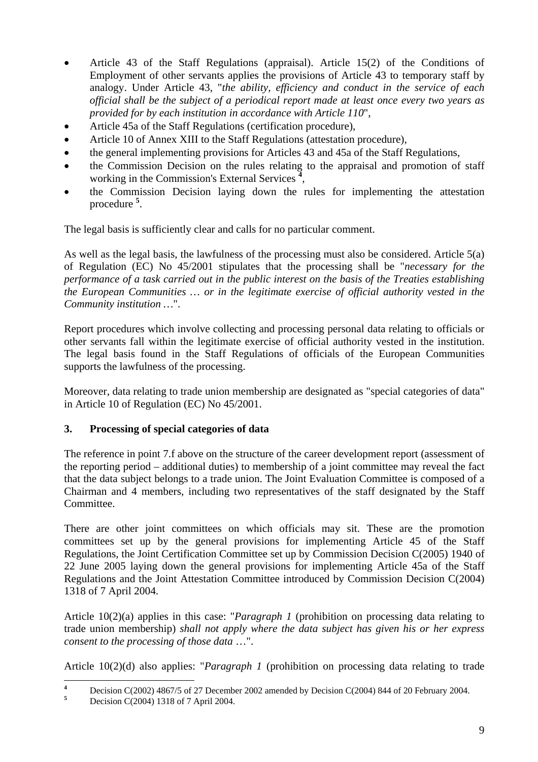- Article 43 of the Staff Regulations (appraisal). Article 15(2) of the Conditions of Employment of other servants applies the provisions of Article 43 to temporary staff by analogy. Under Article 43, "*the ability, efficiency and conduct in the service of each official shall be the subject of a periodical report made at least once every two years as provided for by each institution in accordance with Article 110*",
- Article 45a of the Staff Regulations (certification procedure),
- Article 10 of Annex XIII to the Staff Regulations (attestation procedure),
- the general implementing provisions for Articles 43 and 45a of the Staff Regulations,
- the Commission Decision on the rules relating to the appraisal and promotion of staff working in the Commission's External Services **<sup>4</sup>** [,](#page-8-0)
- the Commission Decision laying down the rules for implementing the attestation procedure **[5](#page-8-1)** .

The legal basis is sufficiently clear and calls for no particular comment.

As well as the legal basis, the lawfulness of the processing must also be considered. Article 5(a) of Regulation (EC) No 45/2001 stipulates that the processing shall be "*necessary for the performance of a task carried out in the public interest on the basis of the Treaties establishing the European Communities … or in the legitimate exercise of official authority vested in the Community institution …*".

Report procedures which involve collecting and processing personal data relating to officials or other servants fall within the legitimate exercise of official authority vested in the institution. The legal basis found in the Staff Regulations of officials of the European Communities supports the lawfulness of the processing.

Moreover, data relating to trade union membership are designated as "special categories of data" in Article 10 of Regulation (EC) No 45/2001.

### **3. Processing of special categories of data**

The reference in point 7.f above on the structure of the career development report (assessment of the reporting period – additional duties) to membership of a joint committee may reveal the fact that the data subject belongs to a trade union. The Joint Evaluation Committee is composed of a Chairman and 4 members, including two representatives of the staff designated by the Staff Committee.

There are other joint committees on which officials may sit. These are the promotion committees set up by the general provisions for implementing Article 45 of the Staff Regulations, the Joint Certification Committee set up by Commission Decision C(2005) 1940 of 22 June 2005 laying down the general provisions for implementing Article 45a of the Staff Regulations and the Joint Attestation Committee introduced by Commission Decision C(2004) 1318 of 7 April 2004.

Article 10(2)(a) applies in this case: "*Paragraph 1* (prohibition on processing data relating to trade union membership) *shall not apply where the data subject has given his or her express consent to the processing of those data* …".

Article 10(2)(d) also applies: "*Paragraph 1* (prohibition on processing data relating to trade

<span id="page-8-0"></span> **4** Decision C(2002) 4867/5 of 27 December 2002 amended by Decision C(2004) 844 of 20 February 2004.

<span id="page-8-1"></span>Decision C(2004) 1318 of 7 April 2004.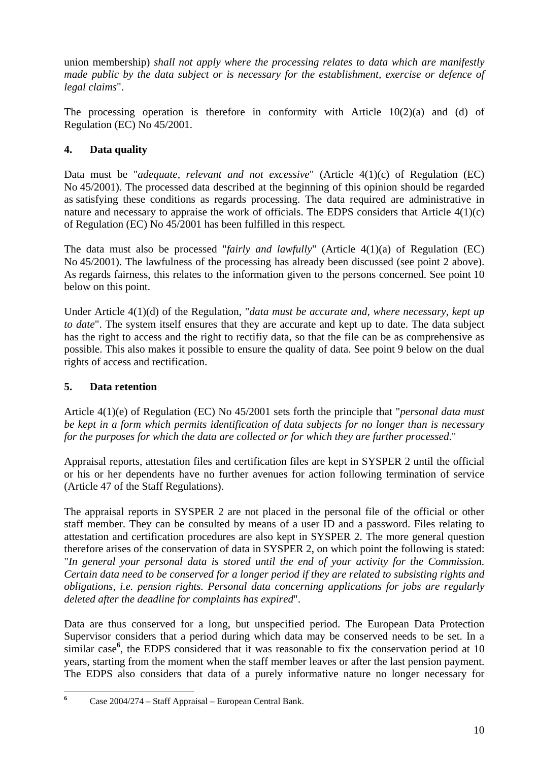union membership) *shall not apply where the processing relates to data which are manifestly made public by the data subject or is necessary for the establishment, exercise or defence of legal claims*".

The processing operation is therefore in conformity with Article 10(2)(a) and (d) of Regulation (EC) No 45/2001.

# **4. Data quality**

Data must be "*adequate, relevant and not excessive*" (Article 4(1)(c) of Regulation (EC) No 45/2001). The processed data described at the beginning of this opinion should be regarded as satisfying these conditions as regards processing. The data required are administrative in nature and necessary to appraise the work of officials. The EDPS considers that Article 4(1)(c) of Regulation (EC) No 45/2001 has been fulfilled in this respect.

The data must also be processed "*fairly and lawfully*" (Article 4(1)(a) of Regulation (EC) No 45/2001). The lawfulness of the processing has already been discussed (see point 2 above). As regards fairness, this relates to the information given to the persons concerned. See point 10 below on this point.

Under Article 4(1)(d) of the Regulation, "*data must be accurate and, where necessary, kept up to date*". The system itself ensures that they are accurate and kept up to date. The data subject has the right to access and the right to rectifiy data, so that the file can be as comprehensive as possible. This also makes it possible to ensure the quality of data. See point 9 below on the dual rights of access and rectification.

# **5. Data retention**

Article 4(1)(e) of Regulation (EC) No 45/2001 sets forth the principle that "*personal data must be kept in a form which permits identification of data subjects for no longer than is necessary for the purposes for which the data are collected or for which they are further processed*."

Appraisal reports, attestation files and certification files are kept in SYSPER 2 until the official or his or her dependents have no further avenues for action following termination of service (Article 47 of the Staff Regulations).

The appraisal reports in SYSPER 2 are not placed in the personal file of the official or other staff member. They can be consulted by means of a user ID and a password. Files relating to attestation and certification procedures are also kept in SYSPER 2. The more general question therefore arises of the conservation of data in SYSPER 2, on which point the following is stated: "*In general your personal data is stored until the end of your activity for the Commission. Certain data need to be conserved for a longer period if they are related to subsisting rights and obligations, i.e. pension rights. Personal data concerning applications for jobs are regularly deleted after the deadline for complaints has expired*".

Data are thus conserved for a long, but unspecified period. The European Data Protection Supervisor considers that a period during which data may be conserved needs to be set. In a similar case<sup>6</sup>[,](#page-9-0) the EDPS considered that it was reasonable to fix the conservation period at 10 years, starting from the moment when the staff member leaves or after the last pension payment. The EDPS also considers that data of a purely informative nature no longer necessary for

<span id="page-9-0"></span> **6** Case 2004/274 – Staff Appraisal – European Central Bank.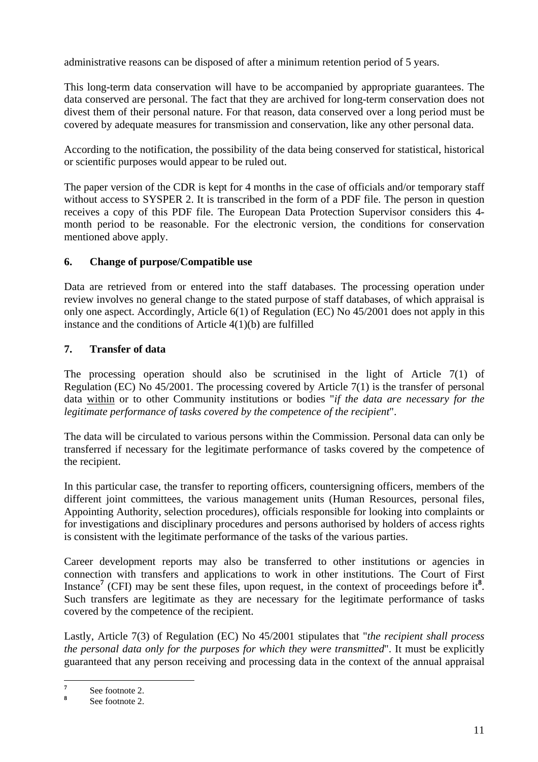administrative reasons can be disposed of after a minimum retention period of 5 years.

This long-term data conservation will have to be accompanied by appropriate guarantees. The data conserved are personal. The fact that they are archived for long-term conservation does not divest them of their personal nature. For that reason, data conserved over a long period must be covered by adequate measures for transmission and conservation, like any other personal data.

According to the notification, the possibility of the data being conserved for statistical, historical or scientific purposes would appear to be ruled out.

The paper version of the CDR is kept for 4 months in the case of officials and/or temporary staff without access to SYSPER 2. It is transcribed in the form of a PDF file. The person in question receives a copy of this PDF file. The European Data Protection Supervisor considers this 4 month period to be reasonable. For the electronic version, the conditions for conservation mentioned above apply.

# **6. Change of purpose/Compatible use**

Data are retrieved from or entered into the staff databases. The processing operation under review involves no general change to the stated purpose of staff databases, of which appraisal is only one aspect. Accordingly, Article 6(1) of Regulation (EC) No 45/2001 does not apply in this instance and the conditions of Article 4(1)(b) are fulfilled

# **7. Transfer of data**

The processing operation should also be scrutinised in the light of Article 7(1) of Regulation (EC) No  $45/2001$ . The processing covered by Article 7(1) is the transfer of personal data within or to other Community institutions or bodies "*if the data are necessary for the legitimate performance of tasks covered by the competence of the recipient*".

The data will be circulated to various persons within the Commission. Personal data can only be transferred if necessary for the legitimate performance of tasks covered by the competence of the recipient.

In this particular case, the transfer to reporting officers, countersigning officers, members of the different joint committees, the various management units (Human Resources, personal files, Appointing Authority, selection procedures), officials responsible for looking into complaints or for investigations and disciplinary procedures and persons authorised by holders of access rights is consistent with the legitimate performance of the tasks of the various parties.

Career development reports may also be transferred to other institutions or agencies in connection with transfers and applications to work in other institutions. The Court of First Instance<sup>[7](#page-10-0)</sup> (CFI) may be sent these files, upon request, in the context of proceedings before it<sup>8</sup>. Such transfers are legitimate as they are necessary for the legitimate performance of tasks covered by the competence of the recipient.

Lastly, Article 7(3) of Regulation (EC) No 45/2001 stipulates that "*the recipient shall process the personal data only for the purposes for which they were transmitted*". It must be explicitly guaranteed that any person receiving and processing data in the context of the annual appraisal

 **7** See footnote 2.

<span id="page-10-1"></span><span id="page-10-0"></span>**<sup>8</sup>** See footnote 2.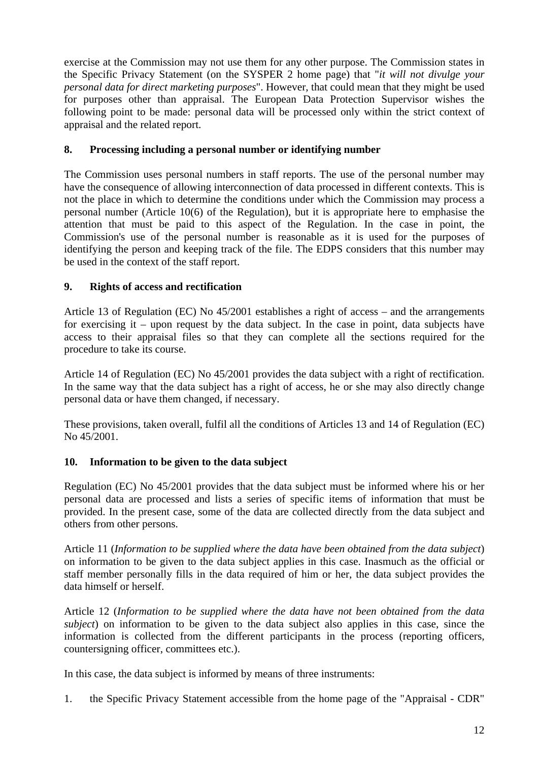exercise at the Commission may not use them for any other purpose. The Commission states in the Specific Privacy Statement (on the SYSPER 2 home page) that "*it will not divulge your personal data for direct marketing purposes*". However, that could mean that they might be used for purposes other than appraisal. The European Data Protection Supervisor wishes the following point to be made: personal data will be processed only within the strict context of appraisal and the related report.

# **8. Processing including a personal number or identifying number**

The Commission uses personal numbers in staff reports. The use of the personal number may have the consequence of allowing interconnection of data processed in different contexts. This is not the place in which to determine the conditions under which the Commission may process a personal number (Article 10(6) of the Regulation), but it is appropriate here to emphasise the attention that must be paid to this aspect of the Regulation. In the case in point, the Commission's use of the personal number is reasonable as it is used for the purposes of identifying the person and keeping track of the file. The EDPS considers that this number may be used in the context of the staff report.

# **9. Rights of access and rectification**

Article 13 of Regulation (EC) No 45/2001 establishes a right of access – and the arrangements for exercising it – upon request by the data subject. In the case in point, data subjects have access to their appraisal files so that they can complete all the sections required for the procedure to take its course.

Article 14 of Regulation (EC) No 45/2001 provides the data subject with a right of rectification. In the same way that the data subject has a right of access, he or she may also directly change personal data or have them changed, if necessary.

These provisions, taken overall, fulfil all the conditions of Articles 13 and 14 of Regulation (EC) No 45/2001.

### **10. Information to be given to the data subject**

Regulation (EC) No 45/2001 provides that the data subject must be informed where his or her personal data are processed and lists a series of specific items of information that must be provided. In the present case, some of the data are collected directly from the data subject and others from other persons.

Article 11 (*Information to be supplied where the data have been obtained from the data subject*) on information to be given to the data subject applies in this case. Inasmuch as the official or staff member personally fills in the data required of him or her, the data subject provides the data himself or herself.

Article 12 (*Information to be supplied where the data have not been obtained from the data subject*) on information to be given to the data subject also applies in this case, since the information is collected from the different participants in the process (reporting officers, countersigning officer, committees etc.).

In this case, the data subject is informed by means of three instruments:

1. the Specific Privacy Statement accessible from the home page of the "Appraisal - CDR"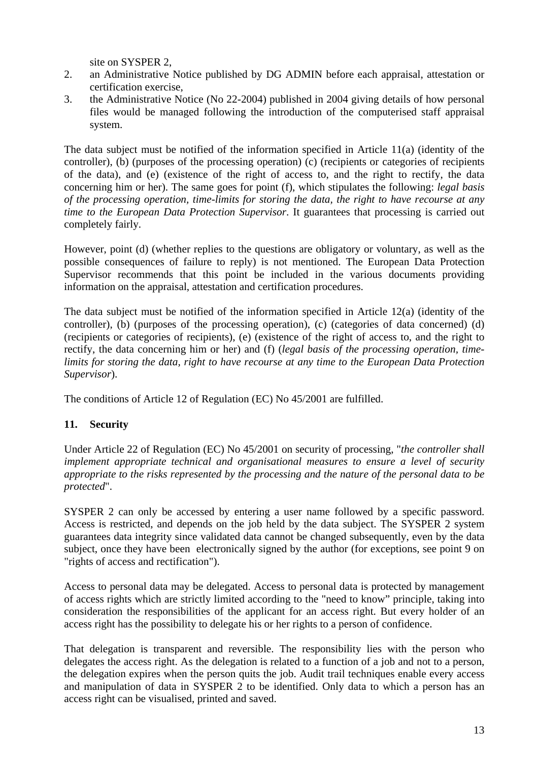site on SYSPER 2,

- 2. an Administrative Notice published by DG ADMIN before each appraisal, attestation or certification exercise,
- 3. the Administrative Notice (No 22-2004) published in 2004 giving details of how personal files would be managed following the introduction of the computerised staff appraisal system.

The data subject must be notified of the information specified in Article 11(a) (identity of the controller), (b) (purposes of the processing operation) (c) (recipients or categories of recipients of the data), and (e) (existence of the right of access to, and the right to rectify, the data concerning him or her). The same goes for point (f), which stipulates the following: *legal basis of the processing operation, time-limits for storing the data, the right to have recourse at any time to the European Data Protection Supervisor*. It guarantees that processing is carried out completely fairly.

However, point (d) (whether replies to the questions are obligatory or voluntary, as well as the possible consequences of failure to reply) is not mentioned. The European Data Protection Supervisor recommends that this point be included in the various documents providing information on the appraisal, attestation and certification procedures.

The data subject must be notified of the information specified in Article 12(a) (identity of the controller), (b) (purposes of the processing operation), (c) (categories of data concerned) (d) (recipients or categories of recipients), (e) (existence of the right of access to, and the right to rectify, the data concerning him or her) and (f) (*legal basis of the processing operation, timelimits for storing the data, right to have recourse at any time to the European Data Protection Supervisor*).

The conditions of Article 12 of Regulation (EC) No 45/2001 are fulfilled.

# **11. Security**

Under Article 22 of Regulation (EC) No 45/2001 on security of processing, "*the controller shall implement appropriate technical and organisational measures to ensure a level of security appropriate to the risks represented by the processing and the nature of the personal data to be protected*".

SYSPER 2 can only be accessed by entering a user name followed by a specific password. Access is restricted, and depends on the job held by the data subject. The SYSPER 2 system guarantees data integrity since validated data cannot be changed subsequently, even by the data subject, once they have been electronically signed by the author (for exceptions, see point 9 on "rights of access and rectification").

Access to personal data may be delegated. Access to personal data is protected by management of access rights which are strictly limited according to the "need to know" principle, taking into consideration the responsibilities of the applicant for an access right. But every holder of an access right has the possibility to delegate his or her rights to a person of confidence.

That delegation is transparent and reversible. The responsibility lies with the person who delegates the access right. As the delegation is related to a function of a job and not to a person, the delegation expires when the person quits the job. Audit trail techniques enable every access and manipulation of data in SYSPER 2 to be identified. Only data to which a person has an access right can be visualised, printed and saved.